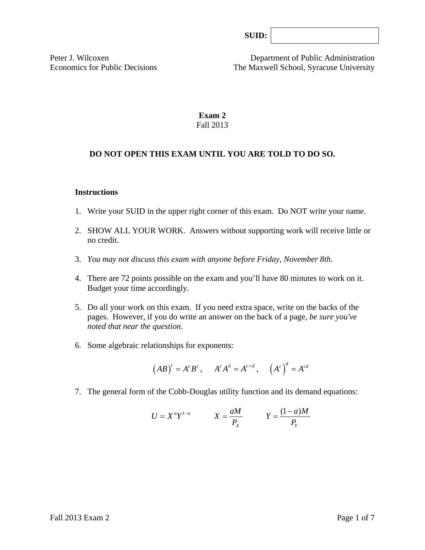Peter J. Wilcoxen Department of Public Administration Economics for Public Decisions The Maxwell School, Syracuse University

> **Exam 2**  Fall 2013

## **DO NOT OPEN THIS EXAM UNTIL YOU ARE TOLD TO DO SO.**

#### **Instructions**

- 1. Write your SUID in the upper right corner of this exam. Do NOT write your name.
- 2. SHOW ALL YOUR WORK. Answers without supporting work will receive little or no credit.
- 3. *You may not discuss this exam with anyone before Friday, November 8th*.
- 4. There are 72 points possible on the exam and you'll have 80 minutes to work on it. Budget your time accordingly.
- 5. Do all your work on this exam. If you need extra space, write on the backs of the pages. However, if you do write an answer on the back of a page, *be sure you've noted that near the question*.
- 6. Some algebraic relationships for exponents:

$$
(AB)^c = A^c B^c
$$
,  $A^c A^d = A^{c+d}$ ,  $(A^c)^d = A^{cd}$ 

7. The general form of the Cobb-Douglas utility function and its demand equations:

$$
U = X^a Y^{1-a} \qquad X = \frac{aM}{P_X} \qquad Y = \frac{(1-a)M}{P_Y}
$$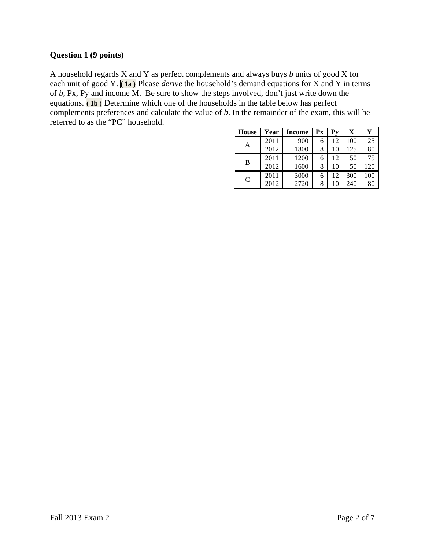## **Question 1 (9 points)**

A household regards X and Y as perfect complements and always buys *b* units of good X for each unit of good Y. **( 1a )** Please *derive* the household's demand equations for X and Y in terms of *b,* Px, Py and income M. Be sure to show the steps involved, don't just write down the equations. **(1b)** Determine which one of the households in the table below has perfect complements preferences and calculate the value of *b*. In the remainder of the exam, this will be referred to as the "PC" household.

| <b>House</b> | Year | <b>Income</b> | Px | Pv | X   | Y   |
|--------------|------|---------------|----|----|-----|-----|
| Α            | 2011 | 900           | 6  | 12 | 100 | 25  |
|              | 2012 | 1800          | 8  | 10 | 125 | 80  |
| B            | 2011 | 1200          | 6  | 12 | 50  | 75  |
|              | 2012 | 1600          | 8  | 10 | 50  | 120 |
| C            | 2011 | 3000          | 6  | 12 | 300 | 100 |
|              | 2012 | 2720          | 8  | 10 | 240 | 80  |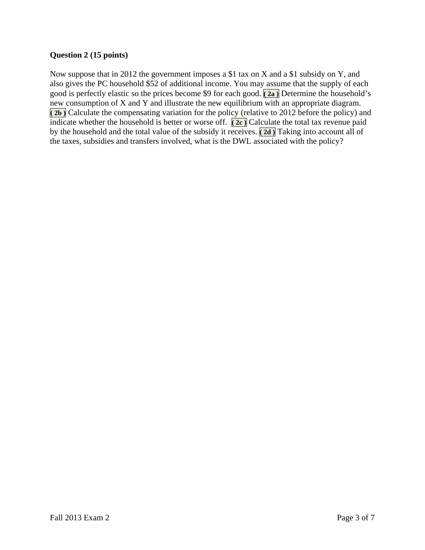# **Question 2 (15 points)**

Now suppose that in 2012 the government imposes a \$1 tax on X and a \$1 subsidy on Y, and also gives the PC household \$52 of additional income. You may assume that the supply of each good is perfectly elastic so the prices become \$9 for each good. **( 2a )** Determine the household's new consumption of X and Y and illustrate the new equilibrium with an appropriate diagram. **( 2b )** Calculate the compensating variation for the policy (relative to 2012 before the policy) and indicate whether the household is better or worse off. **( 2c )** Calculate the total tax revenue paid by the household and the total value of the subsidy it receives. **( 2d )** Taking into account all of the taxes, subsidies and transfers involved, what is the DWL associated with the policy?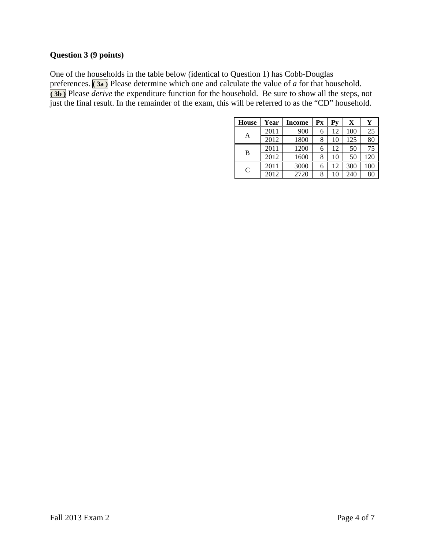## **Question 3 (9 points)**

One of the households in the table below (identical to Question 1) has Cobb-Douglas preferences. **( 3a )** Please determine which one and calculate the value of *a* for that household. **( 3b )** Please *derive* the expenditure function for the household. Be sure to show all the steps, not just the final result. In the remainder of the exam, this will be referred to as the "CD" household.

| <b>House</b>  | Year | <b>Income</b> | Рx | Pv | X   | Y   |
|---------------|------|---------------|----|----|-----|-----|
| Α             | 2011 | 900           | 6  | 12 | 100 | 25  |
|               | 2012 | 1800          | 8  | 10 | 125 | 80  |
| B             | 2011 | 1200          | 6  | 12 | 50  | 75  |
|               | 2012 | 1600          | 8  | 10 | 50  | 120 |
| $\mathcal{C}$ | 2011 | 3000          | 6  | 12 | 300 | 100 |
|               | 2012 | 2720          | 8  | 10 | 240 | 80  |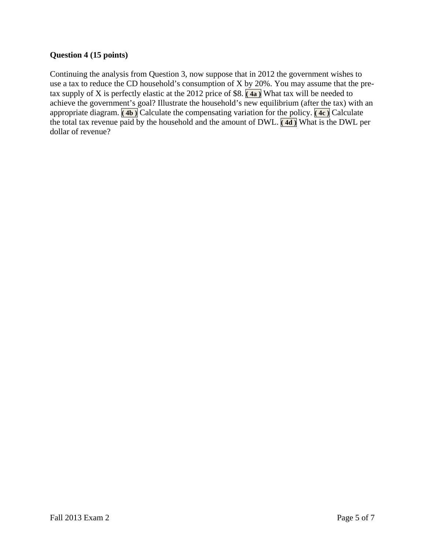## **Question 4 (15 points)**

Continuing the analysis from Question 3, now suppose that in 2012 the government wishes to use a tax to reduce the CD household's consumption of X by 20%. You may assume that the pretax supply of X is perfectly elastic at the 2012 price of \$8. **( 4a )** What tax will be needed to achieve the government's goal? Illustrate the household's new equilibrium (after the tax) with an appropriate diagram. **( 4b )** Calculate the compensating variation for the policy. **( 4c )** Calculate the total tax revenue paid by the household and the amount of DWL. **( 4d )** What is the DWL per dollar of revenue?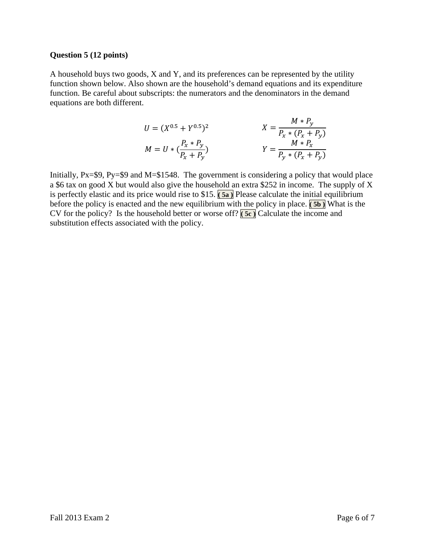#### **Question 5 (12 points)**

A household buys two goods, X and Y, and its preferences can be represented by the utility function shown below. Also shown are the household's demand equations and its expenditure function. Be careful about subscripts: the numerators and the denominators in the demand equations are both different.

$$
U = (X^{0.5} + Y^{0.5})^2
$$
  
\n
$$
X = \frac{M * P_y}{P_x * (P_x + P_y)}
$$
  
\n
$$
Y = \frac{M * P_y}{P_y * (P_x + P_y)}
$$
  
\n
$$
Y = \frac{M * P_x}{P_y * (P_x + P_y)}
$$

Initially, Px=\$9, Py=\$9 and M=\$1548. The government is considering a policy that would place a \$6 tax on good X but would also give the household an extra \$252 in income. The supply of X is perfectly elastic and its price would rise to \$15. **( 5a )** Please calculate the initial equilibrium before the policy is enacted and the new equilibrium with the policy in place.  $(5b)$  What is the CV for the policy? Is the household better or worse off? **( 5c )** Calculate the income and substitution effects associated with the policy.